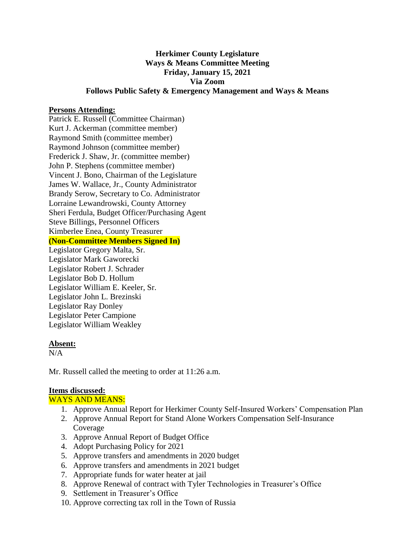## **Herkimer County Legislature Ways & Means Committee Meeting Friday, January 15, 2021 Via Zoom Follows Public Safety & Emergency Management and Ways & Means**

### **Persons Attending:**

Patrick E. Russell (Committee Chairman) Kurt J. Ackerman (committee member) Raymond Smith (committee member) Raymond Johnson (committee member) Frederick J. Shaw, Jr. (committee member) John P. Stephens (committee member) Vincent J. Bono, Chairman of the Legislature James W. Wallace, Jr., County Administrator Brandy Serow, Secretary to Co. Administrator Lorraine Lewandrowski, County Attorney Sheri Ferdula, Budget Officer/Purchasing Agent Steve Billings, Personnel Officers Kimberlee Enea, County Treasurer

## **(Non-Committee Members Signed In)**

Legislator Gregory Malta, Sr. Legislator Mark Gaworecki Legislator Robert J. Schrader Legislator Bob D. Hollum Legislator William E. Keeler, Sr. Legislator John L. Brezinski Legislator Ray Donley Legislator Peter Campione Legislator William Weakley

#### **Absent:**

 $N/A$ 

Mr. Russell called the meeting to order at 11:26 a.m.

### **Items discussed:**

WAYS AND MEANS:

- 1. Approve Annual Report for Herkimer County Self-Insured Workers' Compensation Plan
- 2. Approve Annual Report for Stand Alone Workers Compensation Self-Insurance Coverage
- 3. Approve Annual Report of Budget Office
- 4. Adopt Purchasing Policy for 2021
- 5. Approve transfers and amendments in 2020 budget
- 6. Approve transfers and amendments in 2021 budget
- 7. Appropriate funds for water heater at jail
- 8. Approve Renewal of contract with Tyler Technologies in Treasurer's Office
- 9. Settlement in Treasurer's Office
- 10. Approve correcting tax roll in the Town of Russia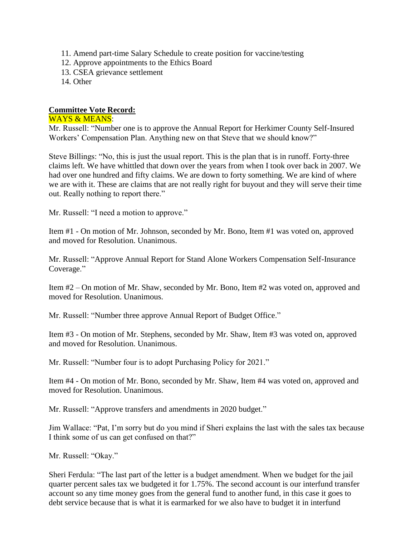- 11. Amend part-time Salary Schedule to create position for vaccine/testing
- 12. Approve appointments to the Ethics Board
- 13. CSEA grievance settlement
- 14. Other

# **Committee Vote Record:**

### WAYS & MEANS:

Mr. Russell: "Number one is to approve the Annual Report for Herkimer County Self-Insured Workers' Compensation Plan. Anything new on that Steve that we should know?"

Steve Billings: "No, this is just the usual report. This is the plan that is in runoff. Forty-three claims left. We have whittled that down over the years from when I took over back in 2007. We had over one hundred and fifty claims. We are down to forty something. We are kind of where we are with it. These are claims that are not really right for buyout and they will serve their time out. Really nothing to report there."

Mr. Russell: "I need a motion to approve."

Item #1 - On motion of Mr. Johnson, seconded by Mr. Bono, Item #1 was voted on, approved and moved for Resolution. Unanimous.

Mr. Russell: "Approve Annual Report for Stand Alone Workers Compensation Self-Insurance Coverage."

Item #2 – On motion of Mr. Shaw, seconded by Mr. Bono, Item #2 was voted on, approved and moved for Resolution. Unanimous.

Mr. Russell: "Number three approve Annual Report of Budget Office."

Item #3 - On motion of Mr. Stephens, seconded by Mr. Shaw, Item #3 was voted on, approved and moved for Resolution. Unanimous.

Mr. Russell: "Number four is to adopt Purchasing Policy for 2021."

Item #4 - On motion of Mr. Bono, seconded by Mr. Shaw, Item #4 was voted on, approved and moved for Resolution. Unanimous.

Mr. Russell: "Approve transfers and amendments in 2020 budget."

Jim Wallace: "Pat, I'm sorry but do you mind if Sheri explains the last with the sales tax because I think some of us can get confused on that?"

Mr. Russell: "Okay."

Sheri Ferdula: "The last part of the letter is a budget amendment. When we budget for the jail quarter percent sales tax we budgeted it for 1.75%. The second account is our interfund transfer account so any time money goes from the general fund to another fund, in this case it goes to debt service because that is what it is earmarked for we also have to budget it in interfund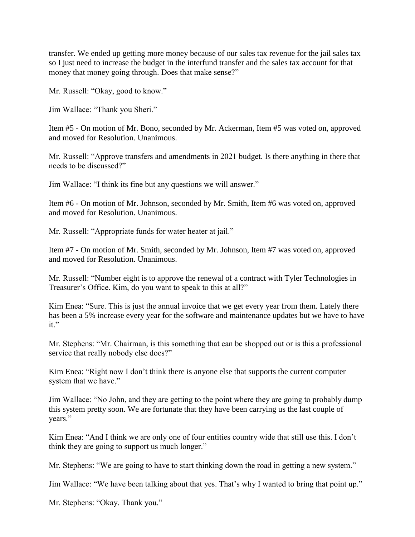transfer. We ended up getting more money because of our sales tax revenue for the jail sales tax so I just need to increase the budget in the interfund transfer and the sales tax account for that money that money going through. Does that make sense?"

Mr. Russell: "Okay, good to know."

Jim Wallace: "Thank you Sheri."

Item #5 - On motion of Mr. Bono, seconded by Mr. Ackerman, Item #5 was voted on, approved and moved for Resolution. Unanimous.

Mr. Russell: "Approve transfers and amendments in 2021 budget. Is there anything in there that needs to be discussed?"

Jim Wallace: "I think its fine but any questions we will answer."

Item #6 - On motion of Mr. Johnson, seconded by Mr. Smith, Item #6 was voted on, approved and moved for Resolution. Unanimous.

Mr. Russell: "Appropriate funds for water heater at jail."

Item #7 - On motion of Mr. Smith, seconded by Mr. Johnson, Item #7 was voted on, approved and moved for Resolution. Unanimous.

Mr. Russell: "Number eight is to approve the renewal of a contract with Tyler Technologies in Treasurer's Office. Kim, do you want to speak to this at all?"

Kim Enea: "Sure. This is just the annual invoice that we get every year from them. Lately there has been a 5% increase every year for the software and maintenance updates but we have to have it."

Mr. Stephens: "Mr. Chairman, is this something that can be shopped out or is this a professional service that really nobody else does?"

Kim Enea: "Right now I don't think there is anyone else that supports the current computer system that we have."

Jim Wallace: "No John, and they are getting to the point where they are going to probably dump this system pretty soon. We are fortunate that they have been carrying us the last couple of years."

Kim Enea: "And I think we are only one of four entities country wide that still use this. I don't think they are going to support us much longer."

Mr. Stephens: "We are going to have to start thinking down the road in getting a new system."

Jim Wallace: "We have been talking about that yes. That's why I wanted to bring that point up."

Mr. Stephens: "Okay. Thank you."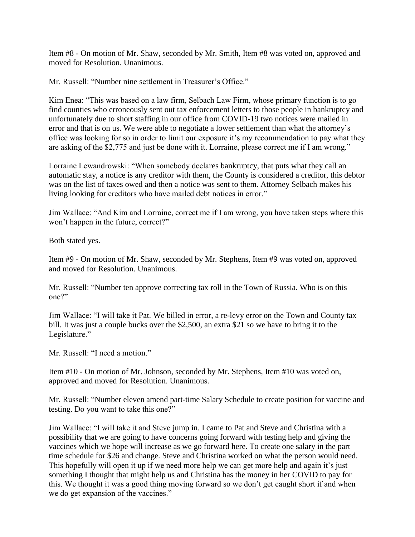Item #8 - On motion of Mr. Shaw, seconded by Mr. Smith, Item #8 was voted on, approved and moved for Resolution. Unanimous.

Mr. Russell: "Number nine settlement in Treasurer's Office."

Kim Enea: "This was based on a law firm, Selbach Law Firm, whose primary function is to go find counties who erroneously sent out tax enforcement letters to those people in bankruptcy and unfortunately due to short staffing in our office from COVID-19 two notices were mailed in error and that is on us. We were able to negotiate a lower settlement than what the attorney's office was looking for so in order to limit our exposure it's my recommendation to pay what they are asking of the \$2,775 and just be done with it. Lorraine, please correct me if I am wrong."

Lorraine Lewandrowski: "When somebody declares bankruptcy, that puts what they call an automatic stay, a notice is any creditor with them, the County is considered a creditor, this debtor was on the list of taxes owed and then a notice was sent to them. Attorney Selbach makes his living looking for creditors who have mailed debt notices in error."

Jim Wallace: "And Kim and Lorraine, correct me if I am wrong, you have taken steps where this won't happen in the future, correct?"

Both stated yes.

Item #9 - On motion of Mr. Shaw, seconded by Mr. Stephens, Item #9 was voted on, approved and moved for Resolution. Unanimous.

Mr. Russell: "Number ten approve correcting tax roll in the Town of Russia. Who is on this one?"

Jim Wallace: "I will take it Pat. We billed in error, a re-levy error on the Town and County tax bill. It was just a couple bucks over the \$2,500, an extra \$21 so we have to bring it to the Legislature."

Mr. Russell: "I need a motion."

Item #10 - On motion of Mr. Johnson, seconded by Mr. Stephens, Item #10 was voted on, approved and moved for Resolution. Unanimous.

Mr. Russell: "Number eleven amend part-time Salary Schedule to create position for vaccine and testing. Do you want to take this one?"

Jim Wallace: "I will take it and Steve jump in. I came to Pat and Steve and Christina with a possibility that we are going to have concerns going forward with testing help and giving the vaccines which we hope will increase as we go forward here. To create one salary in the part time schedule for \$26 and change. Steve and Christina worked on what the person would need. This hopefully will open it up if we need more help we can get more help and again it's just something I thought that might help us and Christina has the money in her COVID to pay for this. We thought it was a good thing moving forward so we don't get caught short if and when we do get expansion of the vaccines."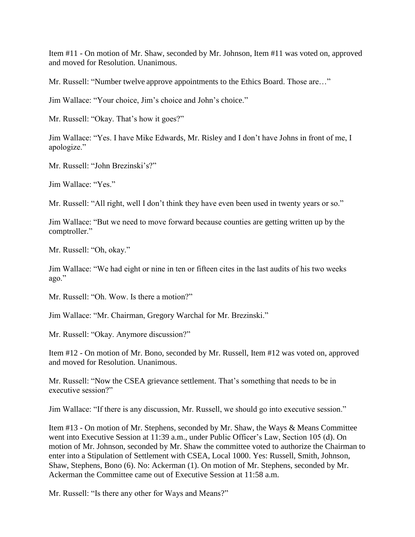Item #11 - On motion of Mr. Shaw, seconded by Mr. Johnson, Item #11 was voted on, approved and moved for Resolution. Unanimous.

Mr. Russell: "Number twelve approve appointments to the Ethics Board. Those are…"

Jim Wallace: "Your choice, Jim's choice and John's choice."

Mr. Russell: "Okay. That's how it goes?"

Jim Wallace: "Yes. I have Mike Edwards, Mr. Risley and I don't have Johns in front of me, I apologize."

Mr. Russell: "John Brezinski's?"

Jim Wallace: "Yes."

Mr. Russell: "All right, well I don't think they have even been used in twenty years or so."

Jim Wallace: "But we need to move forward because counties are getting written up by the comptroller."

Mr. Russell: "Oh, okay."

Jim Wallace: "We had eight or nine in ten or fifteen cites in the last audits of his two weeks ago."

Mr. Russell: "Oh. Wow. Is there a motion?"

Jim Wallace: "Mr. Chairman, Gregory Warchal for Mr. Brezinski."

Mr. Russell: "Okay. Anymore discussion?"

Item #12 - On motion of Mr. Bono, seconded by Mr. Russell, Item #12 was voted on, approved and moved for Resolution. Unanimous.

Mr. Russell: "Now the CSEA grievance settlement. That's something that needs to be in executive session?"

Jim Wallace: "If there is any discussion, Mr. Russell, we should go into executive session."

Item #13 - On motion of Mr. Stephens, seconded by Mr. Shaw, the Ways & Means Committee went into Executive Session at 11:39 a.m., under Public Officer's Law, Section 105 (d). On motion of Mr. Johnson, seconded by Mr. Shaw the committee voted to authorize the Chairman to enter into a Stipulation of Settlement with CSEA, Local 1000. Yes: Russell, Smith, Johnson, Shaw, Stephens, Bono (6). No: Ackerman (1). On motion of Mr. Stephens, seconded by Mr. Ackerman the Committee came out of Executive Session at 11:58 a.m.

Mr. Russell: "Is there any other for Ways and Means?"